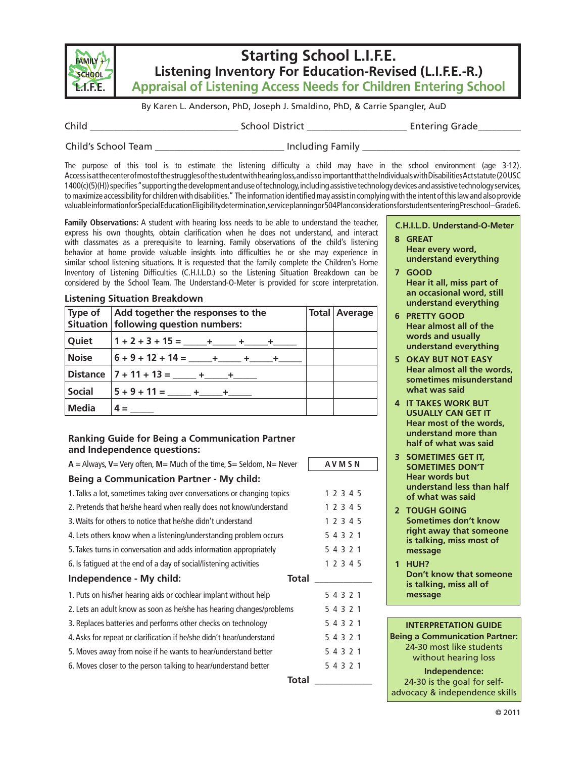

# **Starting School L.I.F.E. Listening Inventory For Education-Revised (L.I.F.E.-R.) Appraisal of Listening Access Needs for Children Entering School**

By Karen L. Anderson, PhD, Joseph J. Smaldino, PhD, & Carrie Spangler, AuD

Child \_\_\_\_\_\_\_\_\_\_\_\_\_\_\_\_\_\_\_\_\_\_\_\_\_\_\_\_\_\_\_ School District \_\_\_\_\_\_\_\_\_\_\_\_\_\_\_\_\_\_\_\_\_ Entering Grade\_\_\_\_\_\_\_\_\_

Child's School Team \_\_\_\_\_\_\_\_\_\_\_\_\_\_\_\_\_\_\_\_\_\_\_\_\_\_\_\_\_\_\_\_\_\_ Including Family \_\_\_\_\_\_\_\_\_

The purpose of this tool is to estimate the listening difficulty a child may have in the school environment (age 3-12). Access is at the center of most of the struggles of the student with hearing loss, and is so important that the Individuals with Disabilities Act statute (20 USC 1400(c)(5)(H)) specifies "supporting the development and use of technology, including assistive technology devices and assistive technology services, to maximize accessibility for children with disabilities." The information identified may assist in complying with the intent of this law and also provide valuableinformationfor Special Education Eligibility determination, service planning or 504 Plan considerations for students entering Preschool-Grade 6.

**Family Observations:** A student with hearing loss needs to be able to understand the teacher, express his own thoughts, obtain clarification when he does not understand, and interact with classmates as a prerequisite to learning. Family observations of the child's listening behavior at home provide valuable insights into difficulties he or she may experience in similar school listening situations. It is requested that the family complete the Children's Home Inventory of Listening Difficulties (C.H.I.L.D.) so the Listening Situation Breakdown can be considered by the School Team. The Understand-O-Meter is provided for score interpretation.

|               | Type of Add together the responses to the                                                                                                                                                                                                                                                                                                                                                                                                                                                                                                                                                                                                                                                                      |  | <b>Total Average</b> |
|---------------|----------------------------------------------------------------------------------------------------------------------------------------------------------------------------------------------------------------------------------------------------------------------------------------------------------------------------------------------------------------------------------------------------------------------------------------------------------------------------------------------------------------------------------------------------------------------------------------------------------------------------------------------------------------------------------------------------------------|--|----------------------|
|               | Situation   following question numbers:                                                                                                                                                                                                                                                                                                                                                                                                                                                                                                                                                                                                                                                                        |  |                      |
| Quiet         | $1+2+3+15=\underline{\qquad}+\underline{\qquad}+\underline{\qquad}+\underline{\qquad}+\underline{\qquad}+\underline{\qquad}+\underline{\qquad}+\underline{\qquad}+\underline{\qquad}+\underline{\qquad}+\underline{\qquad}+\underline{\qquad}+\underline{\qquad}+\underline{\qquad}+\underline{\qquad}+\underline{\qquad}+\underline{\qquad}+\underline{\qquad}+\underline{\qquad}+\underline{\qquad}+\underline{\qquad}+\underline{\qquad}+\underline{\qquad}+\underline{\qquad}+\underline{\qquad}+\underline{\qquad}+\underline{\qquad}+\underline{\qquad}+\underline{\qquad}+\underline{\qquad}+\underline{\qquad}+\underline{\qquad}+\underline{\qquad}+\underline{\qquad}+\underline{\qquad}+\underline$ |  |                      |
| <b>Noise</b>  | $ 6 + 9 + 12 + 14 =$ _____+ _____ + _____ +                                                                                                                                                                                                                                                                                                                                                                                                                                                                                                                                                                                                                                                                    |  |                      |
|               | Distance $ 7 + 11 + 13 =$ _____ + ____ +                                                                                                                                                                                                                                                                                                                                                                                                                                                                                                                                                                                                                                                                       |  |                      |
| <b>Social</b> | $5+9+11=\_\_\_\_\_+\_\_\_\_\_+\_\_\_+$                                                                                                                                                                                                                                                                                                                                                                                                                                                                                                                                                                                                                                                                         |  |                      |
| <b>Media</b>  | $4 =$                                                                                                                                                                                                                                                                                                                                                                                                                                                                                                                                                                                                                                                                                                          |  |                      |

### **Ranking Guide for Being a Communication Partner and Independence questions:**

**Listening Situation Breakdown**

| $A =$ Always, V = Very often, M = Much of the time, S = Seldom, N = Never | <b>AVMSN</b> |
|---------------------------------------------------------------------------|--------------|
| <b>Being a Communication Partner - My child:</b>                          |              |
| 1. Talks a lot, sometimes taking over conversations or changing topics    | 1 2 3 4 5    |
| 2. Pretends that he/she heard when really does not know/understand        | 1 2 3 4 5    |
| 3. Waits for others to notice that he/she didn't understand               | 1 2 3 4 5    |
| 4. Lets others know when a listening/understanding problem occurs         | 5 4 3 2 1    |
| 5. Takes turns in conversation and adds information appropriately         | 5 4 3 2 1    |
| 6. Is fatigued at the end of a day of social/listening activities         | 1 2 3 4 5    |
| Independence - My child:<br>Total                                         |              |
| 1. Puts on his/her hearing aids or cochlear implant without help          | 5 4 3 2 1    |
|                                                                           | 5 4 3 2 1    |
| 2. Lets an adult know as soon as he/she has hearing changes/problems      |              |
| 3. Replaces batteries and performs other checks on technology             | 5 4 3 2 1    |
| 4. Asks for repeat or clarification if he/she didn't hear/understand      | 5 4 3 2 1    |
| 5. Moves away from noise if he wants to hear/understand better            | 5 4 3 2 1    |
| 6. Moves closer to the person talking to hear/understand better           | 5 4 3 2 1    |

**C.H.I.L.D. Understand-O-Meter**

- **8 GREAT Hear every word, understand everything**
- **7 GOOD Hear it all, miss part of an occasional word, still understand everything**
- **6 PRETTY GOOD Hear almost all of the words and usually understand everything**
- **5 OKAY BUT NOT EASY Hear almost all the words, sometimes misunderstand what was said**
- **4 IT TAKES WORK BUT USUALLY CAN GET IT Hear most of the words, understand more than half of what was said**
- **3 SOMETIMES GET IT, SOMETIMES DON'T Hear words but understand less than half of what was said**
- **2 TOUGH GOING Sometimes don't know right away that someone is talking, miss most of message**
- **1 HUH? Don't know that someone is talking, miss all of message**

| <b>INTERPRETATION GUIDE</b>           |
|---------------------------------------|
| <b>Being a Communication Partner:</b> |
| 24-30 most like students              |
| without hearing loss                  |
| Independence:                         |
| 24-30 is the goal for self-           |

advocacy & independence skills